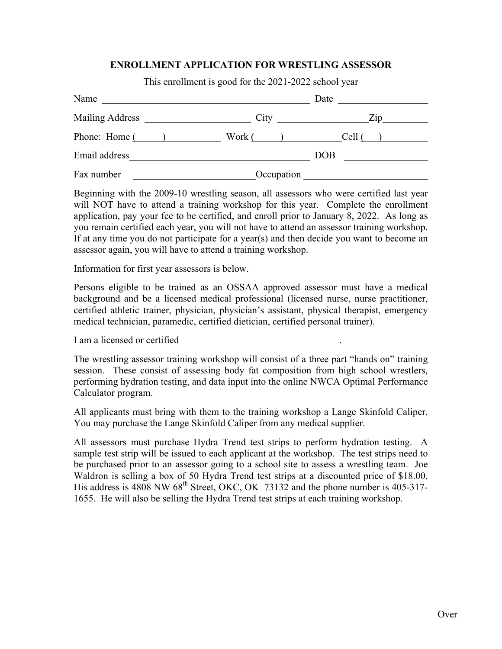## **ENROLLMENT APPLICATION FOR WRESTLING ASSESSOR**

This enrollment is good for the 2021-2022 school year

| Name           |            | Date<br><u> 1989 - Jan Barbara Barbara, prima prima prima prima prima prima prima prima prima prima prima prima prima pri</u> |
|----------------|------------|-------------------------------------------------------------------------------------------------------------------------------|
|                | City       | $\mathbb{Z}^{1}$                                                                                                              |
| Phone: Home () | Work( )    | Cell (                                                                                                                        |
| Email address  |            | <b>DOB</b>                                                                                                                    |
| Fax number     | Occupation |                                                                                                                               |

Beginning with the 2009-10 wrestling season, all assessors who were certified last year will NOT have to attend a training workshop for this year. Complete the enrollment application, pay your fee to be certified, and enroll prior to January 8, 2022. As long as you remain certified each year, you will not have to attend an assessor training workshop. If at any time you do not participate for a year(s) and then decide you want to become an assessor again, you will have to attend a training workshop.

Information for first year assessors is below.

Persons eligible to be trained as an OSSAA approved assessor must have a medical background and be a licensed medical professional (licensed nurse, nurse practitioner, certified athletic trainer, physician, physician's assistant, physical therapist, emergency medical technician, paramedic, certified dietician, certified personal trainer).

I am a licensed or certified

The wrestling assessor training workshop will consist of a three part "hands on" training session. These consist of assessing body fat composition from high school wrestlers, performing hydration testing, and data input into the online NWCA Optimal Performance Calculator program.

All applicants must bring with them to the training workshop a Lange Skinfold Caliper. You may purchase the Lange Skinfold Caliper from any medical supplier.

All assessors must purchase Hydra Trend test strips to perform hydration testing. A sample test strip will be issued to each applicant at the workshop. The test strips need to be purchased prior to an assessor going to a school site to assess a wrestling team. Joe Waldron is selling a box of 50 Hydra Trend test strips at a discounted price of \$18.00. His address is 4808 NW  $68<sup>th</sup>$  Street, OKC, OK 73132 and the phone number is 405-317-1655. He will also be selling the Hydra Trend test strips at each training workshop.